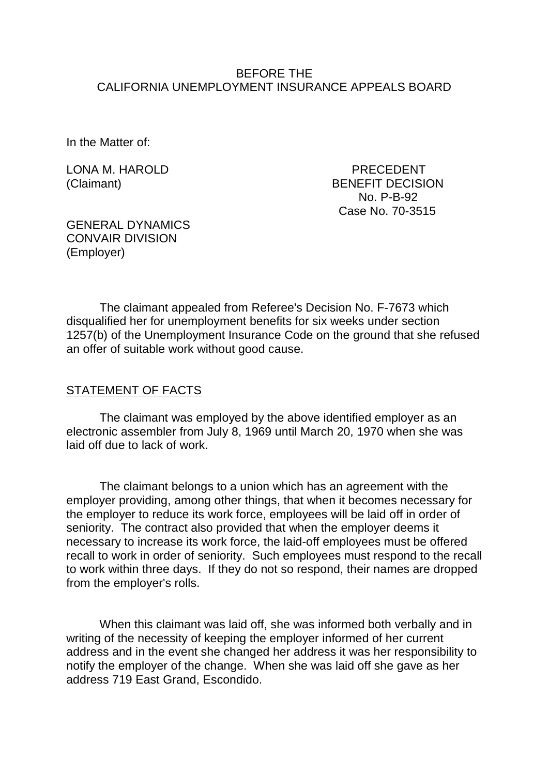### BEFORE THE CALIFORNIA UNEMPLOYMENT INSURANCE APPEALS BOARD

In the Matter of:

LONA M. HAROLD PRECEDENT

(Claimant) BENEFIT DECISION No. P-B-92 Case No. 70-3515

GENERAL DYNAMICS CONVAIR DIVISION (Employer)

The claimant appealed from Referee's Decision No. F-7673 which disqualified her for unemployment benefits for six weeks under section 1257(b) of the Unemployment Insurance Code on the ground that she refused an offer of suitable work without good cause.

#### STATEMENT OF FACTS

The claimant was employed by the above identified employer as an electronic assembler from July 8, 1969 until March 20, 1970 when she was laid off due to lack of work.

The claimant belongs to a union which has an agreement with the employer providing, among other things, that when it becomes necessary for the employer to reduce its work force, employees will be laid off in order of seniority. The contract also provided that when the employer deems it necessary to increase its work force, the laid-off employees must be offered recall to work in order of seniority. Such employees must respond to the recall to work within three days. If they do not so respond, their names are dropped from the employer's rolls.

When this claimant was laid off, she was informed both verbally and in writing of the necessity of keeping the employer informed of her current address and in the event she changed her address it was her responsibility to notify the employer of the change. When she was laid off she gave as her address 719 East Grand, Escondido.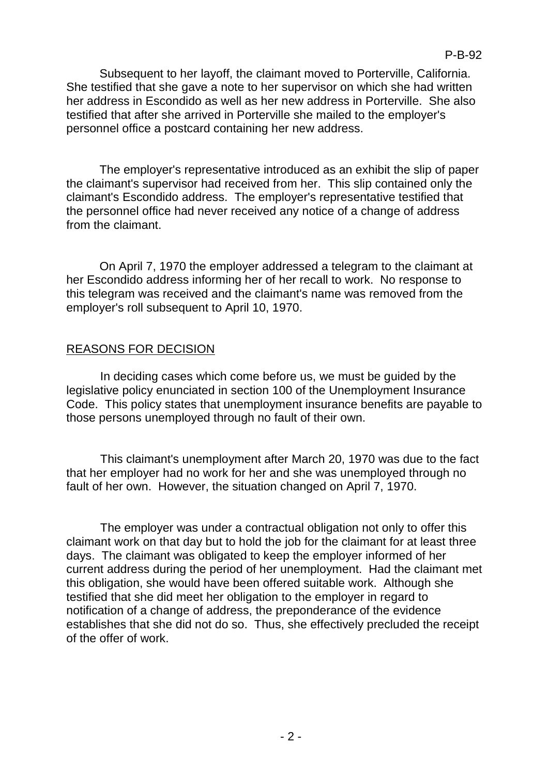Subsequent to her layoff, the claimant moved to Porterville, California. She testified that she gave a note to her supervisor on which she had written her address in Escondido as well as her new address in Porterville. She also testified that after she arrived in Porterville she mailed to the employer's personnel office a postcard containing her new address.

The employer's representative introduced as an exhibit the slip of paper the claimant's supervisor had received from her. This slip contained only the claimant's Escondido address. The employer's representative testified that the personnel office had never received any notice of a change of address from the claimant.

On April 7, 1970 the employer addressed a telegram to the claimant at her Escondido address informing her of her recall to work. No response to this telegram was received and the claimant's name was removed from the employer's roll subsequent to April 10, 1970.

# REASONS FOR DECISION

In deciding cases which come before us, we must be guided by the legislative policy enunciated in section 100 of the Unemployment Insurance Code. This policy states that unemployment insurance benefits are payable to those persons unemployed through no fault of their own.

This claimant's unemployment after March 20, 1970 was due to the fact that her employer had no work for her and she was unemployed through no fault of her own. However, the situation changed on April 7, 1970.

The employer was under a contractual obligation not only to offer this claimant work on that day but to hold the job for the claimant for at least three days. The claimant was obligated to keep the employer informed of her current address during the period of her unemployment. Had the claimant met this obligation, she would have been offered suitable work. Although she testified that she did meet her obligation to the employer in regard to notification of a change of address, the preponderance of the evidence establishes that she did not do so. Thus, she effectively precluded the receipt of the offer of work.